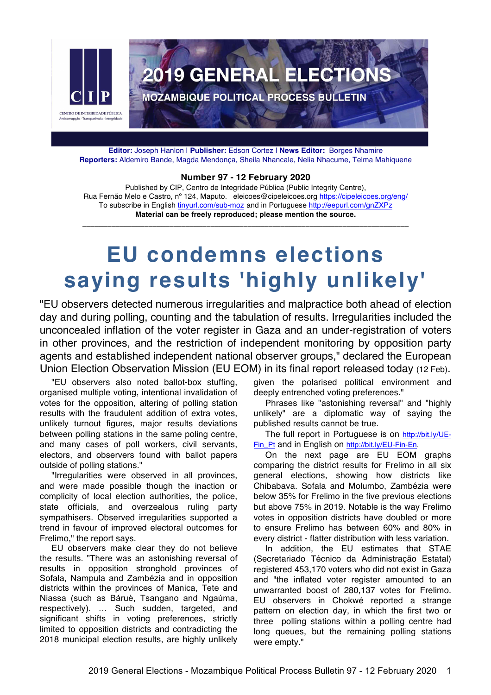

**Editor:** Joseph Hanlon | **Publisher:** Edson Cortez | **News Editor:** Borges Nhamire **Reporters:** Aldemiro Bande, Magda Mendonça, Sheila Nhancale, Nelia Nhacume, Telma Mahiquene \_\_\_\_\_\_\_\_\_\_\_\_\_\_\_\_\_\_\_\_\_\_\_\_\_\_\_\_\_\_\_\_\_\_\_\_\_\_\_\_\_\_\_\_\_\_\_\_\_\_\_\_\_\_\_\_\_\_\_\_\_\_\_\_\_\_\_\_\_\_\_\_\_\_\_\_\_\_\_\_\_\_\_\_\_\_\_\_\_\_\_\_\_\_\_\_\_\_\_\_\_\_\_\_\_\_\_\_\_\_\_\_\_\_\_\_\_\_\_\_\_\_\_\_\_\_\_\_\_\_\_\_\_\_\_\_\_\_\_\_\_\_\_\_\_\_\_\_\_\_\_\_\_\_\_\_\_\_\_\_\_\_\_\_\_\_\_\_\_\_\_\_\_\_\_\_\_\_\_\_\_\_\_\_\_\_\_\_\_\_\_

#### **Number 97 - 12 February 2020**

Published by CIP, Centro de Integridade Pública (Public Integrity Centre), Rua Fernão Melo e Castro, nº 124, Maputo. eleicoes@cipeleicoes.org https://cipeleicoes.org/eng/ To subscribe in English tinyurl.com/sub-moz and in Portuguese http://eepurl.com/gnZXPz **Material can be freely reproduced; please mention the source.**

\_\_\_\_\_\_\_\_\_\_\_\_\_\_\_\_\_\_\_\_\_\_\_\_\_\_\_\_\_\_\_\_\_\_\_\_\_\_\_\_\_\_\_\_\_\_\_\_\_\_\_\_\_\_\_\_\_\_\_\_\_\_\_\_\_\_\_\_\_\_\_\_\_\_\_\_\_\_\_

# **EU condemns elections saying results 'highly unlikely'**

"EU observers detected numerous irregularities and malpractice both ahead of election day and during polling, counting and the tabulation of results. Irregularities included the unconcealed inflation of the voter register in Gaza and an under-registration of voters in other provinces, and the restriction of independent monitoring by opposition party agents and established independent national observer groups," declared the European Union Election Observation Mission (EU EOM) in its final report released today (12 Feb).

"EU observers also noted ballot-box stuffing, organised multiple voting, intentional invalidation of votes for the opposition, altering of polling station results with the fraudulent addition of extra votes, unlikely turnout figures, major results deviations between polling stations in the same poling centre, and many cases of poll workers, civil servants, electors, and observers found with ballot papers outside of polling stations."

"Irregularities were observed in all provinces, and were made possible though the inaction or complicity of local election authorities, the police, state officials, and overzealous ruling party sympathisers. Observed irregularities supported a trend in favour of improved electoral outcomes for Frelimo," the report says.

EU observers make clear they do not believe the results. "There was an astonishing reversal of results in opposition stronghold provinces of Sofala, Nampula and Zambézia and in opposition districts within the provinces of Manica, Tete and Niassa (such as Báruè, Tsangano and Ngaúma, respectively). … Such sudden, targeted, and significant shifts in voting preferences, strictly limited to opposition districts and contradicting the 2018 municipal election results, are highly unlikely

given the polarised political environment and deeply entrenched voting preferences."

Phrases like "astonishing reversal" and "highly unlikely" are a diplomatic way of saying the published results cannot be true.

The full report in Portuguese is on http://bit.ly/UE-Fin\_Pt and in English on http://bit.ly/EU-Fin-En.

On the next page are EU EOM graphs comparing the district results for Frelimo in all six general elections, showing how districts like Chibabava. Sofala and Molumbo, Zambézia were below 35% for Frelimo in the five previous elections but above 75% in 2019. Notable is the way Frelimo votes in opposition districts have doubled or more to ensure Frelimo has between 60% and 80% in every district - flatter distribution with less variation.

In addition, the EU estimates that STAE (Secretariado Técnico da Administração Estatal) registered 453,170 voters who did not exist in Gaza and "the inflated voter register amounted to an unwarranted boost of 280,137 votes for Frelimo. EU observers in Chokwé reported a strange pattern on election day, in which the first two or three polling stations within a polling centre had long queues, but the remaining polling stations were empty."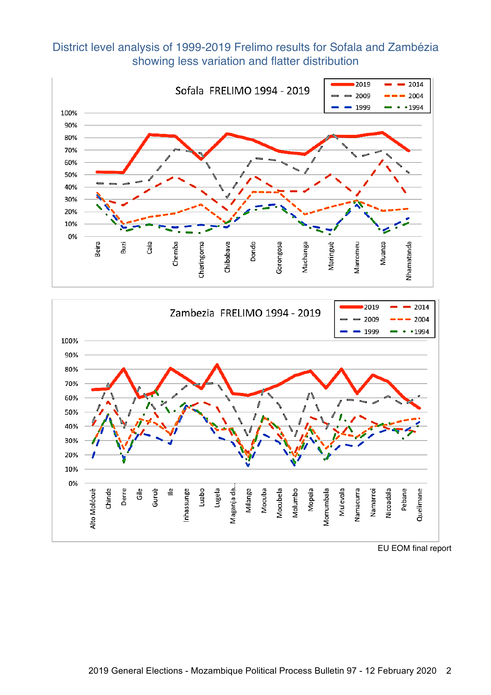#### District level analysis of 1999-2019 Frelimo results for Sofala and Zambézia showing less variation and flatter distribution





EU EOM final report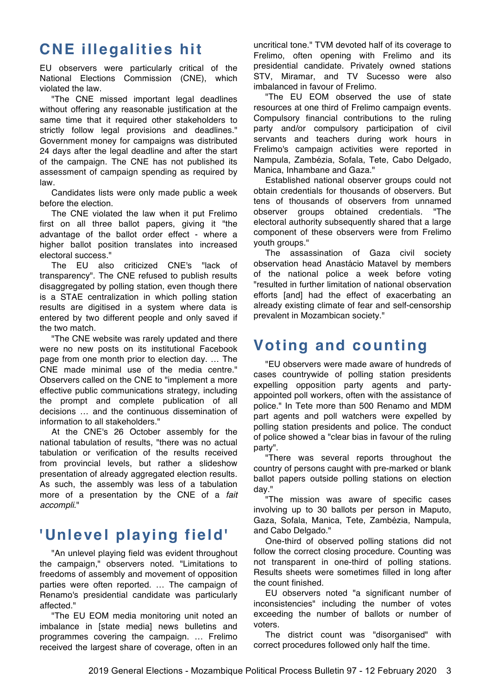#### **CNE illegalities hit**

EU observers were particularly critical of the National Elections Commission (CNE), which violated the law.

"The CNE missed important legal deadlines without offering any reasonable justification at the same time that it required other stakeholders to strictly follow legal provisions and deadlines." Government money for campaigns was distributed 24 days after the legal deadline and after the start of the campaign. The CNE has not published its assessment of campaign spending as required by law.

Candidates lists were only made public a week before the election.

The CNE violated the law when it put Frelimo first on all three ballot papers, giving it "the advantage of the ballot order effect - where a higher ballot position translates into increased electoral success."

The EU also criticized CNE's "lack of transparency". The CNE refused to publish results disaggregated by polling station, even though there is a STAE centralization in which polling station results are digitised in a system where data is entered by two different people and only saved if the two match.

"The CNE website was rarely updated and there were no new posts on its institutional Facebook page from one month prior to election day. … The CNE made minimal use of the media centre." Observers called on the CNE to "implement a more effective public communications strategy, including the prompt and complete publication of all decisions … and the continuous dissemination of information to all stakeholders."

At the CNE's 26 October assembly for the national tabulation of results, "there was no actual tabulation or verification of the results received from provincial levels, but rather a slideshow presentation of already aggregated election results. As such, the assembly was less of a tabulation more of a presentation by the CNE of a *fait accompli*."

#### **'Unlevel playing field'**

"An unlevel playing field was evident throughout the campaign," observers noted. "Limitations to freedoms of assembly and movement of opposition parties were often reported. … The campaign of Renamo's presidential candidate was particularly affected."

"The EU EOM media monitoring unit noted an imbalance in [state media] news bulletins and programmes covering the campaign. … Frelimo received the largest share of coverage, often in an uncritical tone." TVM devoted half of its coverage to Frelimo, often opening with Frelimo and its presidential candidate. Privately owned stations STV, Miramar, and TV Sucesso were also imbalanced in favour of Frelimo.

"The EU EOM observed the use of state resources at one third of Frelimo campaign events. Compulsory financial contributions to the ruling party and/or compulsory participation of civil servants and teachers during work hours in Frelimo's campaign activities were reported in Nampula, Zambézia, Sofala, Tete, Cabo Delgado, Manica, Inhambane and Gaza."

Established national observer groups could not obtain credentials for thousands of observers. But tens of thousands of observers from unnamed observer groups obtained credentials. "The electoral authority subsequently shared that a large component of these observers were from Frelimo youth groups."

The assassination of Gaza civil society observation head Anastácio Matavel by members of the national police a week before voting "resulted in further limitation of national observation efforts [and] had the effect of exacerbating an already existing climate of fear and self-censorship prevalent in Mozambican society."

### **Voting and counting**

"EU observers were made aware of hundreds of cases countrywide of polling station presidents expelling opposition party agents and partyappointed poll workers, often with the assistance of police." In Tete more than 500 Renamo and MDM part agents and poll watchers were expelled by polling station presidents and police. The conduct of police showed a "clear bias in favour of the ruling party".

"There was several reports throughout the country of persons caught with pre-marked or blank ballot papers outside polling stations on election day."

"The mission was aware of specific cases involving up to 30 ballots per person in Maputo, Gaza, Sofala, Manica, Tete, Zambézia, Nampula, and Cabo Delgado."

One-third of observed polling stations did not follow the correct closing procedure. Counting was not transparent in one-third of polling stations. Results sheets were sometimes filled in long after the count finished.

EU observers noted "a significant number of inconsistencies" including the number of votes exceeding the number of ballots or number of voters.

The district count was "disorganised" with correct procedures followed only half the time.